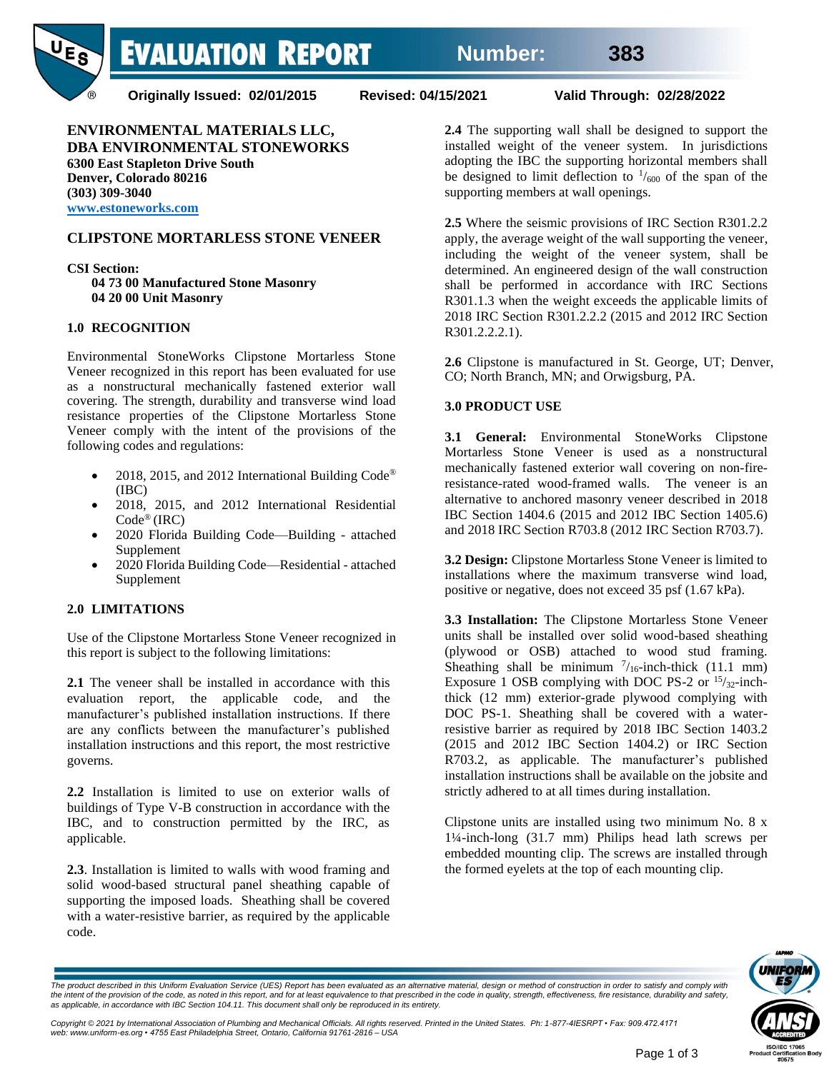**EVALUATION REPORT** 



**Originally Issued: 02/01/2015 Revised: 04/15/2021 Valid Through: 02/28/2022**

**ENVIRONMENTAL MATERIALS LLC, DBA ENVIRONMENTAL STONEWORKS 6300 East Stapleton Drive South Denver, Colorado 80216 (303) 309-3040 www.estoneworks.com** 

# **CLIPSTONE MORTARLESS STONE VENEER**

**CSI Section: 04 73 00 Manufactured Stone Masonry 04 20 00 Unit Masonry**

## **1.0 RECOGNITION**

Environmental StoneWorks Clipstone Mortarless Stone Veneer recognized in this report has been evaluated for use as a nonstructural mechanically fastened exterior wall covering. The strength, durability and transverse wind load resistance properties of the Clipstone Mortarless Stone Veneer comply with the intent of the provisions of the following codes and regulations:

- 2018, 2015, and 2012 International Building Code® (IBC)
- 2018, 2015, and 2012 International Residential Code® (IRC)
- 2020 Florida Building Code—Building attached Supplement
- 2020 Florida Building Code—Residential attached Supplement

## **2.0 LIMITATIONS**

Use of the Clipstone Mortarless Stone Veneer recognized in this report is subject to the following limitations:

**2.1** The veneer shall be installed in accordance with this evaluation report, the applicable code, and the manufacturer's published installation instructions. If there are any conflicts between the manufacturer's published installation instructions and this report, the most restrictive governs.

**2.2** Installation is limited to use on exterior walls of buildings of Type V-B construction in accordance with the IBC, and to construction permitted by the IRC, as applicable.

**2.3**. Installation is limited to walls with wood framing and solid wood-based structural panel sheathing capable of supporting the imposed loads. Sheathing shall be covered with a water-resistive barrier, as required by the applicable code.

**2.4** The supporting wall shall be designed to support the installed weight of the veneer system. In jurisdictions adopting the IBC the supporting horizontal members shall be designed to limit deflection to  $\frac{1}{600}$  of the span of the supporting members at wall openings.

**2.5** Where the seismic provisions of IRC Section R301.2.2 apply, the average weight of the wall supporting the veneer, including the weight of the veneer system, shall be determined. An engineered design of the wall construction shall be performed in accordance with IRC Sections R301.1.3 when the weight exceeds the applicable limits of 2018 IRC Section R301.2.2.2 (2015 and 2012 IRC Section R301.2.2.2.1).

**2.6** Clipstone is manufactured in St. George, UT; Denver, CO; North Branch, MN; and Orwigsburg, PA.

## **3.0 PRODUCT USE**

**3.1 General:** Environmental StoneWorks Clipstone Mortarless Stone Veneer is used as a nonstructural mechanically fastened exterior wall covering on non-fireresistance-rated wood-framed walls. The veneer is an alternative to anchored masonry veneer described in 2018 IBC Section 1404.6 (2015 and 2012 IBC Section 1405.6) and 2018 IRC Section R703.8 (2012 IRC Section R703.7).

**3.2 Design:** Clipstone Mortarless Stone Veneer is limited to installations where the maximum transverse wind load, positive or negative, does not exceed 35 psf (1.67 kPa).

**3.3 Installation:** The Clipstone Mortarless Stone Veneer units shall be installed over solid wood-based sheathing (plywood or OSB) attached to wood stud framing. Sheathing shall be minimum  $\frac{7}{16}$ -inch-thick (11.1 mm) Exposure 1 OSB complying with DOC PS-2 or  $15/32$ -inchthick (12 mm) exterior-grade plywood complying with DOC PS-1. Sheathing shall be covered with a waterresistive barrier as required by 2018 IBC Section 1403.2 (2015 and 2012 IBC Section 1404.2) or IRC Section R703.2, as applicable. The manufacturer's published installation instructions shall be available on the jobsite and strictly adhered to at all times during installation.

Clipstone units are installed using two minimum No. 8 x 1¼-inch-long (31.7 mm) Philips head lath screws per embedded mounting clip. The screws are installed through the formed eyelets at the top of each mounting clip.



*The product described in this Uniform Evaluation Service (UES) Report has been evaluated as an alternative material, design or method of construction in order to satisfy and comply with*  the intent of the provision of the code, as noted in this report, and for at least equivalence to that prescribed in the code in quality, strength, effectiveness, fire resistance, durability and safety,<br>as applicable, in a

Copyright © 2021 by International Association of Plumbing and Mechanical Officials. All rights reserved. Printed in the United States. Ph: 1-877-4IESRPT • Fax: 909.472.4171<br>web: www.uniform-es.org • 4755 East Philadelphia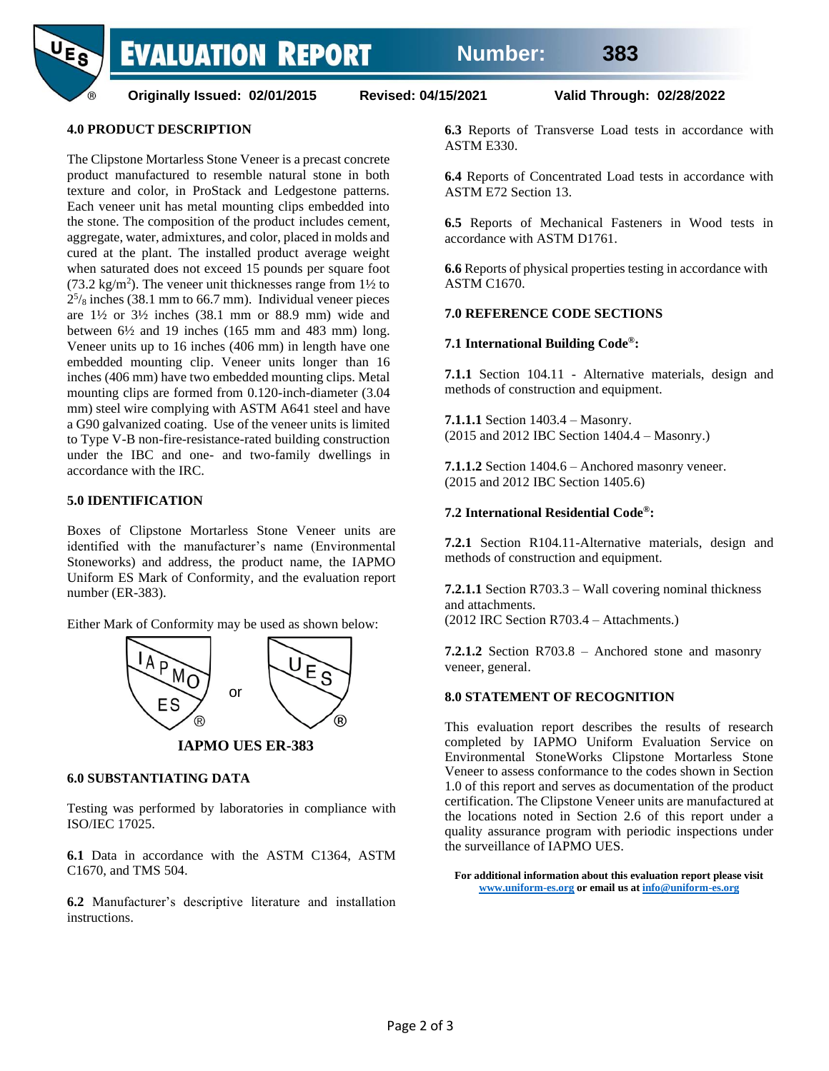**EVALUATION REPORT** 



**Originally Issued: 02/01/2015 Revised: 04/15/2021 Valid Through: 02/28/2022**

#### **4.0 PRODUCT DESCRIPTION**

The Clipstone Mortarless Stone Veneer is a precast concrete product manufactured to resemble natural stone in both texture and color, in ProStack and Ledgestone patterns. Each veneer unit has metal mounting clips embedded into the stone. The composition of the product includes cement, aggregate, water, admixtures, and color, placed in molds and cured at the plant. The installed product average weight when saturated does not exceed 15 pounds per square foot (73.2 kg/m<sup>2</sup>). The veneer unit thicknesses range from  $1\frac{1}{2}$  to  $2^{5}/_8$  inches (38.1 mm to 66.7 mm). Individual veneer pieces are  $1\frac{1}{2}$  or  $3\frac{1}{2}$  inches (38.1 mm or 88.9 mm) wide and between  $6\frac{1}{2}$  and 19 inches (165 mm and 483 mm) long. Veneer units up to 16 inches (406 mm) in length have one embedded mounting clip. Veneer units longer than 16 inches (406 mm) have two embedded mounting clips. Metal mounting clips are formed from 0.120-inch-diameter (3.04 mm) steel wire complying with ASTM A641 steel and have a G90 galvanized coating. Use of the veneer units is limited to Type V-B non-fire-resistance-rated building construction under the IBC and one- and two-family dwellings in accordance with the IRC.

#### **5.0 IDENTIFICATION**

Boxes of Clipstone Mortarless Stone Veneer units are identified with the manufacturer's name (Environmental Stoneworks) and address, the product name, the IAPMO Uniform ES Mark of Conformity, and the evaluation report number (ER-383).

Either Mark of Conformity may be used as shown below:



 **IAPMO UES ER-383**

#### **6.0 SUBSTANTIATING DATA**

Testing was performed by laboratories in compliance with ISO/IEC 17025.

**6.1** Data in accordance with the ASTM C1364, ASTM C1670, and TMS 504.

**6.2** Manufacturer's descriptive literature and installation instructions.

**6.3** Reports of Transverse Load tests in accordance with ASTM E330.

**6.4** Reports of Concentrated Load tests in accordance with ASTM E72 Section 13.

**6.5** Reports of Mechanical Fasteners in Wood tests in accordance with ASTM D1761.

**6.6** Reports of physical properties testing in accordance with ASTM C1670.

#### **7.0 REFERENCE CODE SECTIONS**

#### **7.1 International Building Code ®:**

**7.1.1** Section 104.11 - Alternative materials, design and methods of construction and equipment.

**7.1.1.1** Section 1403.4 – Masonry. (2015 and 2012 IBC Section 1404.4 – Masonry.)

**7.1.1.2** Section 1404.6 – Anchored masonry veneer. (2015 and 2012 IBC Section 1405.6)

#### **7.2 International Residential Code ®:**

**7.2.1** Section R104.11-Alternative materials, design and methods of construction and equipment.

**7.2.1.1** Section R703.3 – Wall covering nominal thickness and attachments. (2012 IRC Section R703.4 – Attachments.)

**7.2.1.2** Section R703.8 – Anchored stone and masonry veneer, general.

#### **8.0 STATEMENT OF RECOGNITION**

This evaluation report describes the results of research completed by IAPMO Uniform Evaluation Service on Environmental StoneWorks Clipstone Mortarless Stone Veneer to assess conformance to the codes shown in Section 1.0 of this report and serves as documentation of the product certification. The Clipstone Veneer units are manufactured at the locations noted in Section 2.6 of this report under a quality assurance program with periodic inspections under the surveillance of IAPMO UES.

**For additional information about this evaluation report please visit [www.uniform-es.org](http://www.uniform-es.org/) or email us a[t info@uniform-es.org](mailto:info@uniform-es.org)**